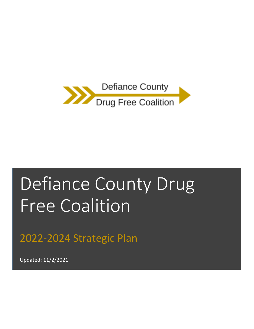

# Defiance County Drug Free Coalition

2022-2024 Strategic Plan

Updated: 11/2/2021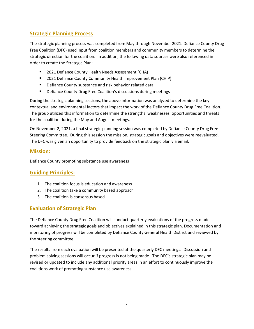### **Strategic Planning Process**

The strategic planning process was completed from May through November 2021. Defiance County Drug Free Coalition (DFC) used input from coalition members and community members to determine the strategic direction for the coalition. In addition, the following data sources were also referenced in order to create the Strategic Plan:

- 2021 Defiance County Health Needs Assessment (CHA)
- 2021 Defiance County Community Health Improvement Plan (CHIP)
- Defiance County substance and risk behavior related data
- Defiance County Drug Free Coalition's discussions during meetings

During the strategic planning sessions, the above information was analyzed to determine the key contextual and environmental factors that impact the work of the Defiance County Drug Free Coalition. The group utilized this information to determine the strengths, weaknesses, opportunities and threats for the coalition during the May and August meetings.

On November 2, 2021, a final strategic planning session was completed by Defiance County Drug Free Steering Committee. During this session the mission, strategic goals and objectives were reevaluated. The DFC was given an opportunity to provide feedback on the strategic plan via email.

#### **Mission:**

Defiance County promoting substance use awareness

#### **Guiding Principles:**

- 1. The coalition focus is education and awareness
- 2. The coalition take a community based approach
- 3. The coalition is consensus based

#### **Evaluation of Strategic Plan**

The Defiance County Drug Free Coalition will conduct quarterly evaluations of the progress made toward achieving the strategic goals and objectives explained in this strategic plan. Documentation and monitoring of progress will be completed by Defiance County General Health District and reviewed by the steering committee.

The results from each evaluation will be presented at the quarterly DFC meetings. Discussion and problem solving sessions will occur if progress is not being made. The DFC's strategic plan may be revised or updated to include any additional priority areas in an effort to continuously improve the coalitions work of promoting substance use awareness.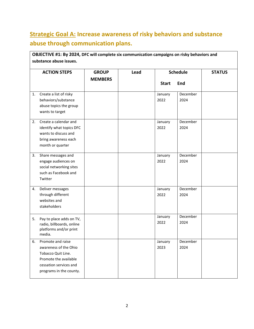## **Strategic Goal A: Increase awareness of risky behaviors and substance abuse through communication plans.**

| 1. | <b>ACTION STEPS</b><br>Create a list of risky<br>behaviors/substance<br>abuse topics the group<br>wants to target                              | <b>GROUP</b><br><b>MEMBERS</b> | Lead | <b>Schedule</b><br><b>Start</b><br>End |                                                                                                                       | <b>STATUS</b> |
|----|------------------------------------------------------------------------------------------------------------------------------------------------|--------------------------------|------|----------------------------------------|-----------------------------------------------------------------------------------------------------------------------|---------------|
|    |                                                                                                                                                |                                |      |                                        |                                                                                                                       |               |
|    |                                                                                                                                                |                                |      | 2.                                     | Create a calendar and<br>identify what topics DFC<br>wants to discuss and<br>bring awareness each<br>month or quarter |               |
| 3. | Share messages and<br>engage audiences on<br>social networking sites<br>such as Facebook and<br>Twitter                                        |                                |      | January<br>2022                        | December<br>2024                                                                                                      |               |
| 4. | Deliver messages<br>through different<br>websites and<br>stakeholders                                                                          |                                |      | January<br>2022                        | December<br>2024                                                                                                      |               |
| 5. | Pay to place adds on TV,<br>radio, billboards, online<br>platforms and/or print<br>media.                                                      |                                |      | January<br>2022                        | December<br>2024                                                                                                      |               |
| 6. | Promote and raise<br>awareness of the Ohio<br>Tobacco Quit Line.<br>Promote the available<br>cessation services and<br>programs in the county. |                                |      | January<br>2023                        | December<br>2024                                                                                                      |               |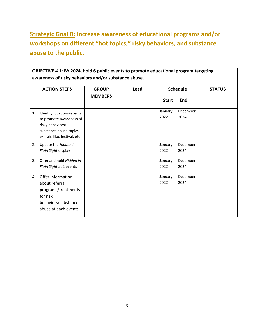**Strategic Goal B: Increase awareness of educational programs and/or workshops on different "hot topics," risky behaviors, and substance abuse to the public.**

| <b>ACTION STEPS</b>                         | <b>GROUP</b><br><b>MEMBERS</b> | Lead | <b>Schedule</b> |          | <b>STATUS</b> |
|---------------------------------------------|--------------------------------|------|-----------------|----------|---------------|
|                                             |                                |      | <b>Start</b>    | End      |               |
| Identify locations/events<br>$\mathbf{1}$ . |                                |      | January         | December |               |
| to promote awareness of                     |                                |      | 2022            | 2024     |               |
| risky behaviors/                            |                                |      |                 |          |               |
| substance abuse topics                      |                                |      |                 |          |               |
| ex) fair, lilac festival, etc               |                                |      |                 |          |               |
| 2.<br>Update the Hidden in                  |                                |      | January         | December |               |
| Plain Sight display                         |                                |      | 2022            | 2024     |               |
| Offer and hold Hidden in<br>3.              |                                |      | January         | December |               |
| Plain Sight at 2 events                     |                                |      | 2022            | 2024     |               |
| Offer information<br>4.                     |                                |      | January         | December |               |
| about referral                              |                                |      | 2022            | 2024     |               |
| programs/treatments                         |                                |      |                 |          |               |
| for risk                                    |                                |      |                 |          |               |
| behaviors/substance                         |                                |      |                 |          |               |
| abuse at each events                        |                                |      |                 |          |               |